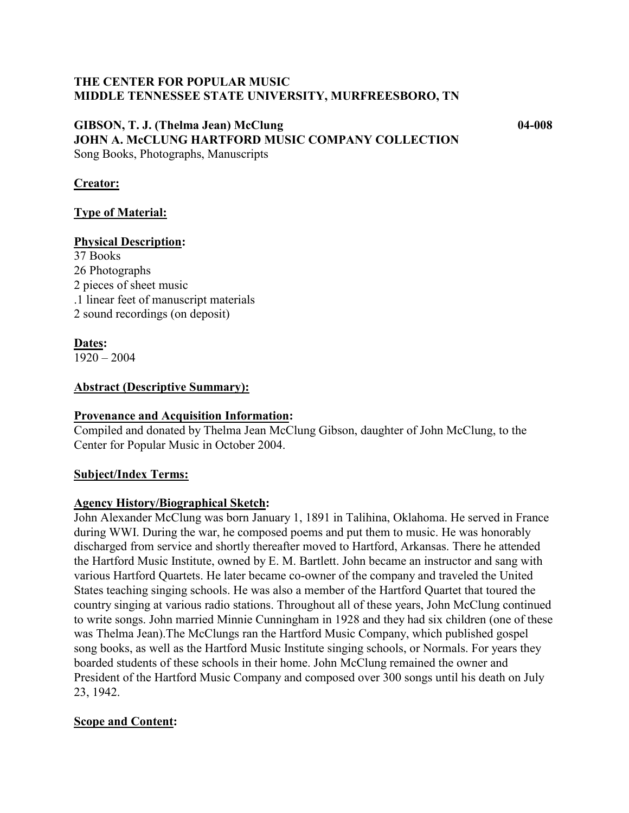### **THE CENTER FOR POPULAR MUSIC MIDDLE TENNESSEE STATE UNIVERSITY, MURFREESBORO, TN**

#### **GIBSON, T. J. (Thelma Jean) McClung 04-008 JOHN A. McCLUNG HARTFORD MUSIC COMPANY COLLECTION** Song Books, Photographs, Manuscripts

### **Creator:**

### **Type of Material:**

#### **Physical Description:**

37 Books 26 Photographs 2 pieces of sheet music .1 linear feet of manuscript materials 2 sound recordings (on deposit)

### **Dates:**

1920 – 2004

#### **Abstract (Descriptive Summary):**

#### **Provenance and Acquisition Information:**

Compiled and donated by Thelma Jean McClung Gibson, daughter of John McClung, to the Center for Popular Music in October 2004.

#### **Subject/Index Terms:**

#### **Agency History/Biographical Sketch:**

John Alexander McClung was born January 1, 1891 in Talihina, Oklahoma. He served in France during WWI. During the war, he composed poems and put them to music. He was honorably discharged from service and shortly thereafter moved to Hartford, Arkansas. There he attended the Hartford Music Institute, owned by E. M. Bartlett. John became an instructor and sang with various Hartford Quartets. He later became co-owner of the company and traveled the United States teaching singing schools. He was also a member of the Hartford Quartet that toured the country singing at various radio stations. Throughout all of these years, John McClung continued to write songs. John married Minnie Cunningham in 1928 and they had six children (one of these was Thelma Jean).The McClungs ran the Hartford Music Company, which published gospel song books, as well as the Hartford Music Institute singing schools, or Normals. For years they boarded students of these schools in their home. John McClung remained the owner and President of the Hartford Music Company and composed over 300 songs until his death on July 23, 1942.

#### **Scope and Content:**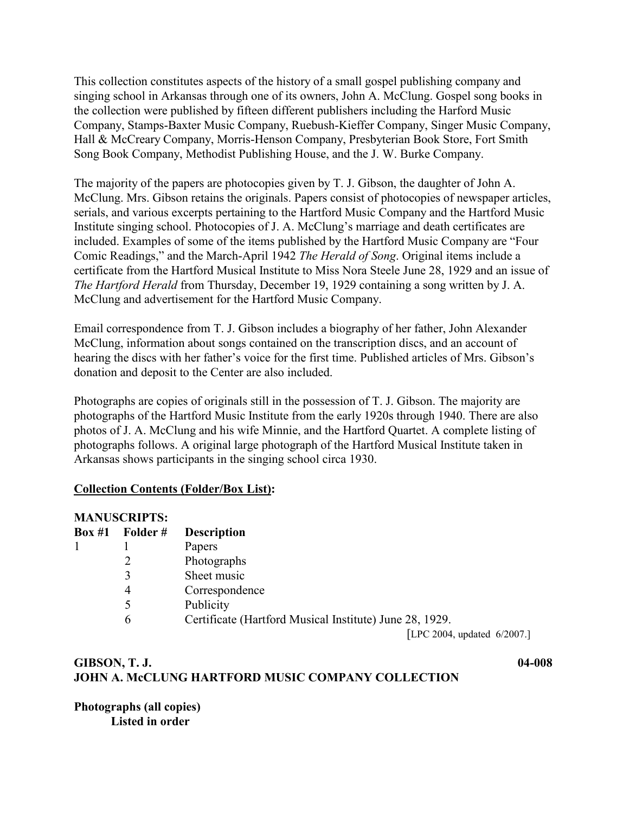This collection constitutes aspects of the history of a small gospel publishing company and singing school in Arkansas through one of its owners, John A. McClung. Gospel song books in the collection were published by fifteen different publishers including the Harford Music Company, Stamps-Baxter Music Company, Ruebush-Kieffer Company, Singer Music Company, Hall & McCreary Company, Morris-Henson Company, Presbyterian Book Store, Fort Smith Song Book Company, Methodist Publishing House, and the J. W. Burke Company.

The majority of the papers are photocopies given by T. J. Gibson, the daughter of John A. McClung. Mrs. Gibson retains the originals. Papers consist of photocopies of newspaper articles, serials, and various excerpts pertaining to the Hartford Music Company and the Hartford Music Institute singing school. Photocopies of J. A. McClung's marriage and death certificates are included. Examples of some of the items published by the Hartford Music Company are "Four Comic Readings," and the March-April 1942 *The Herald of Song*. Original items include a certificate from the Hartford Musical Institute to Miss Nora Steele June 28, 1929 and an issue of *The Hartford Herald* from Thursday, December 19, 1929 containing a song written by J. A. McClung and advertisement for the Hartford Music Company.

Email correspondence from T. J. Gibson includes a biography of her father, John Alexander McClung, information about songs contained on the transcription discs, and an account of hearing the discs with her father's voice for the first time. Published articles of Mrs. Gibson's donation and deposit to the Center are also included.

Photographs are copies of originals still in the possession of T. J. Gibson. The majority are photographs of the Hartford Music Institute from the early 1920s through 1940. There are also photos of J. A. McClung and his wife Minnie, and the Hartford Quartet. A complete listing of photographs follows. A original large photograph of the Hartford Musical Institute taken in Arkansas shows participants in the singing school circa 1930.

## **Collection Contents (Folder/Box List):**

#### **MANUSCRIPTS:**

| Box #1 | Folder # | <b>Description</b>                                      |
|--------|----------|---------------------------------------------------------|
|        |          | Papers                                                  |
|        |          | Photographs                                             |
|        |          | Sheet music                                             |
|        |          | Correspondence                                          |
|        |          | Publicity                                               |
|        | 6        | Certificate (Hartford Musical Institute) June 28, 1929. |
|        |          | <b>Lessanni</b>                                         |

[LPC 2004, updated 6/2007.]

## **GIBSON, T. J. 04-008 JOHN A. McCLUNG HARTFORD MUSIC COMPANY COLLECTION**

## **Photographs (all copies) Listed in order**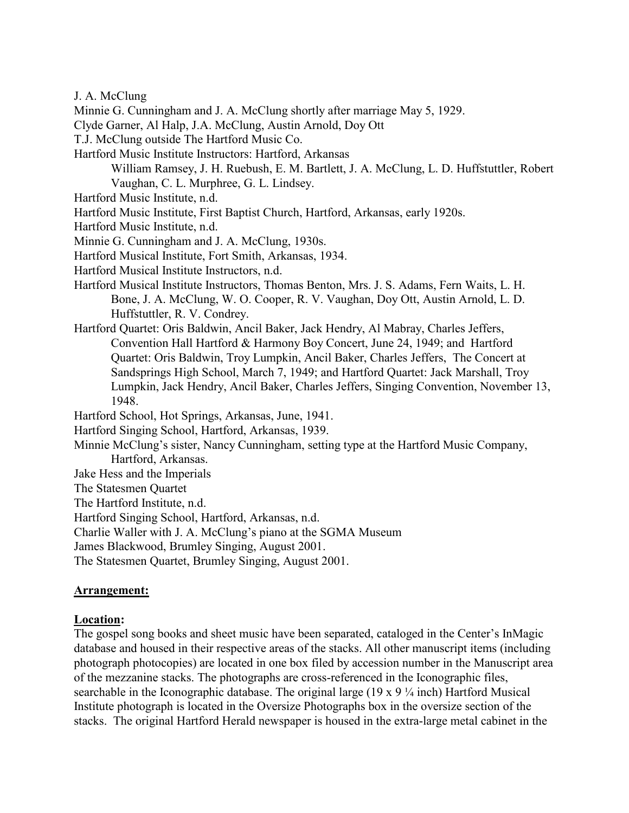J. A. McClung

- Minnie G. Cunningham and J. A. McClung shortly after marriage May 5, 1929.
- Clyde Garner, Al Halp, J.A. McClung, Austin Arnold, Doy Ott
- T.J. McClung outside The Hartford Music Co.
- Hartford Music Institute Instructors: Hartford, Arkansas
	- William Ramsey, J. H. Ruebush, E. M. Bartlett, J. A. McClung, L. D. Huffstuttler, Robert Vaughan, C. L. Murphree, G. L. Lindsey.
- Hartford Music Institute, n.d.
- Hartford Music Institute, First Baptist Church, Hartford, Arkansas, early 1920s.
- Hartford Music Institute, n.d.
- Minnie G. Cunningham and J. A. McClung, 1930s.
- Hartford Musical Institute, Fort Smith, Arkansas, 1934.
- Hartford Musical Institute Instructors, n.d.
- Hartford Musical Institute Instructors, Thomas Benton, Mrs. J. S. Adams, Fern Waits, L. H. Bone, J. A. McClung, W. O. Cooper, R. V. Vaughan, Doy Ott, Austin Arnold, L. D. Huffstuttler, R. V. Condrey.
- Hartford Quartet: Oris Baldwin, Ancil Baker, Jack Hendry, Al Mabray, Charles Jeffers, Convention Hall Hartford & Harmony Boy Concert, June 24, 1949; and Hartford Quartet: Oris Baldwin, Troy Lumpkin, Ancil Baker, Charles Jeffers, The Concert at Sandsprings High School, March 7, 1949; and Hartford Quartet: Jack Marshall, Troy Lumpkin, Jack Hendry, Ancil Baker, Charles Jeffers, Singing Convention, November 13, 1948.
- Hartford School, Hot Springs, Arkansas, June, 1941.
- Hartford Singing School, Hartford, Arkansas, 1939.
- Minnie McClung's sister, Nancy Cunningham, setting type at the Hartford Music Company, Hartford, Arkansas.
- Jake Hess and the Imperials
- The Statesmen Quartet
- The Hartford Institute, n.d.
- Hartford Singing School, Hartford, Arkansas, n.d.
- Charlie Waller with J. A. McClung's piano at the SGMA Museum
- James Blackwood, Brumley Singing, August 2001.
- The Statesmen Quartet, Brumley Singing, August 2001.

#### **Arrangement:**

#### **Location:**

The gospel song books and sheet music have been separated, cataloged in the Center's InMagic database and housed in their respective areas of the stacks. All other manuscript items (including photograph photocopies) are located in one box filed by accession number in the Manuscript area of the mezzanine stacks. The photographs are cross-referenced in the Iconographic files, searchable in the Iconographic database. The original large (19 x 9 ¼ inch) Hartford Musical Institute photograph is located in the Oversize Photographs box in the oversize section of the stacks. The original Hartford Herald newspaper is housed in the extra-large metal cabinet in the